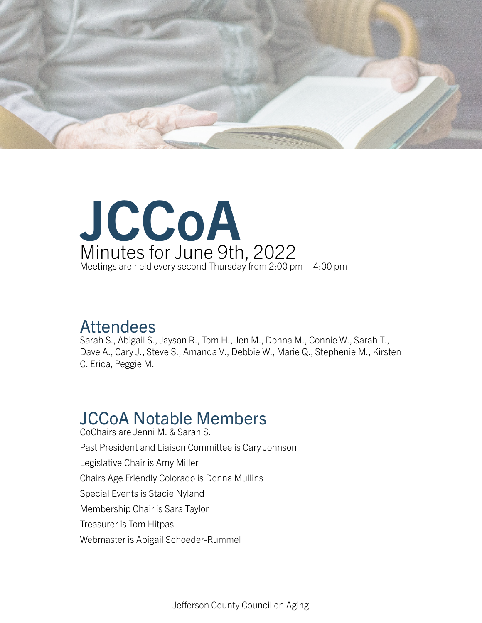



### Attendees

Sarah S., Abigail S., Jayson R., Tom H., Jen M., Donna M., Connie W., Sarah T., Dave A., Cary J., Steve S., Amanda V., Debbie W., Marie Q., Stephenie M., Kirsten C. Erica, Peggie M.

#### JCCoA Notable Members CoChairs are Jenni M. & Sarah S.

Past President and Liaison Committee is Cary Johnson Legislative Chair is Amy Miller Chairs Age Friendly Colorado is Donna Mullins Special Events is Stacie Nyland Membership Chair is Sara Taylor Treasurer is Tom Hitpas Webmaster is Abigail Schoeder-Rummel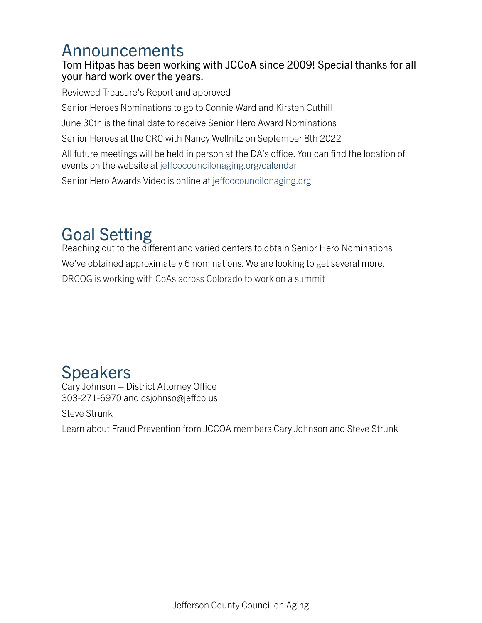## Announcements

### Tom Hitpas has been working with JCCoA since 2009! Special thanks for all your hard work over the years.

Reviewed Treasure's Report and approved

Senior Heroes Nominations to go to Connie Ward and Kirsten Cuthill

June 30th is the final date to receive Senior Hero Award Nominations

Senior Heroes at the CRC with Nancy Wellnitz on September 8th 2022

All future meetings will be held in person at the DA's office. You can find the location of events on the website at jeffcocouncilonaging.org/calendar

Senior Hero Awards Video is online at jeffcocouncilonaging.org

# Goal Setting

Reaching out to the different and varied centers to obtain Senior Hero Nominations We've obtained approximately 6 nominations. We are looking to get several more. DRCOG is working with CoAs across Colorado to work on a summit

## **Speakers**

Cary Johnson – District Attorney Office 303-271-6970 and csjohnso@jeffco.us

Steve Strunk

Learn about Fraud Prevention from JCCOA members Cary Johnson and Steve Strunk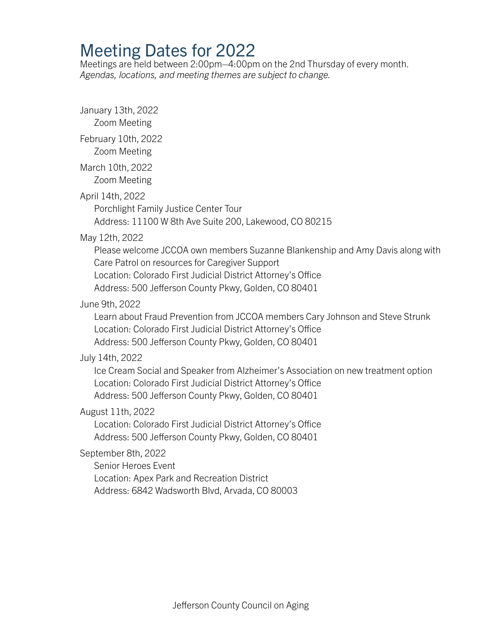## Meeting Dates for 2022

Meetings are held between 2:00pm–4:00pm on the 2nd Thursday of every month. *Agendas, locations, and meeting themes are subject to change.*

January 13th, 2022 Zoom Meeting February 10th, 2022 Zoom Meeting March 10th, 2022 Zoom Meeting April 14th, 2022 Porchlight Family Justice Center Tour Address: 11100 W 8th Ave Suite 200, Lakewood, CO 80215 May 12th, 2022 Please welcome JCCOA own members Suzanne Blankenship and Amy Davis along with Care Patrol on resources for Caregiver Support Location: Colorado First Judicial District Attorney's Office Address: 500 Jefferson County Pkwy, Golden, CO 80401 June 9th, 2022 Learn about Fraud Prevention from JCCOA members Cary Johnson and Steve Strunk Location: Colorado First Judicial District Attorney's Office Address: 500 Jefferson County Pkwy, Golden, CO 80401 July 14th, 2022 Ice Cream Social and Speaker from Alzheimer's Association on new treatment option Location: Colorado First Judicial District Attorney's Office Address: 500 Jefferson County Pkwy, Golden, CO 80401 August 11th, 2022 Location: Colorado First Judicial District Attorney's Office Address: 500 Jefferson County Pkwy, Golden, CO 80401 September 8th, 2022 Senior Heroes Event Location: Apex Park and Recreation District Address: 6842 Wadsworth Blvd, Arvada, CO 80003